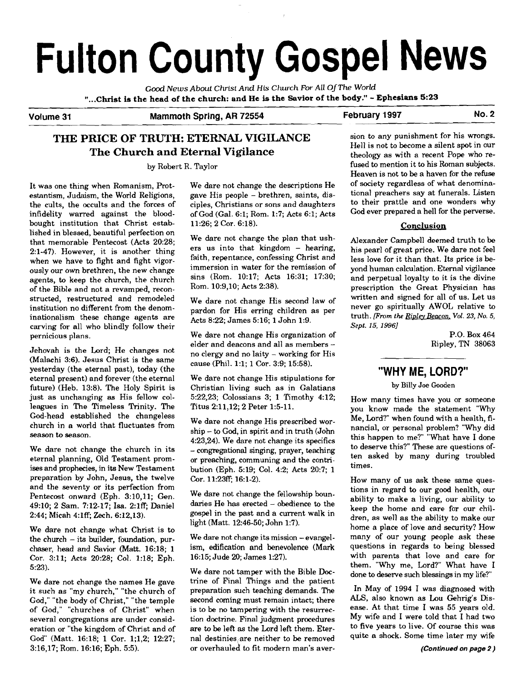# **Fulton County Gospel News**

*Good News About Christ And* **His** *Church For* **ALL** Of **The** *World*  **"...CMst is the head of the church: and He is the Savior of the body."** - **Ephesians 5:23** 

## Volume 31 **Mammoth Spring, AR 72554** February 1997 No. 2

# **THE PRICE OF TRUTH: ETERNAL VIGILANCE** sion to any punishment for his wrongs.<br>
Hell is not to become a silent spot in our The Church and Eternal Vigilance theology as with a recent Pope who re-

estantism, Judaism, the World Religions, gave His people – brethren, saints, dis-<br>the cults, the occults and the forces of ciples, Christians or sons and daughters to their prattle and one wonders why the cults, the occults and the forces of ciples, Christians or sons and daughters to their prattle and one wonders why<br>infidelity warred against the blood- of God (Gal. 6:1; Rom. 1:7; Acts 6:1; Acts God ever prepared a hel bought institution that Christ established in blessed, beautiful perfection on that memorable Pentecost (Acts 20:28; 2:l-47). However, it is another thing when we have to fight and fight vigorously our own brethren, the new change agents, to keep the church, the church of the Bible and not a revamped, reconstructed, restructured and remodeled institution no different from the denominationalism these change agents are carving for all who blindly follow their pernicious plans.

Jehovah is the Lord; He changes not (Malachi 3:6). Jesus Christ is the same yesterday (the eternal past), today (the eternal present) and forever (the eternal future) (Heb. 13:8). The Holy Spirit is just as unchanging **as** His fellow colleagues in The Timeless Trinity. The God-head established the changeless church in a world that fluctuates from season to season.

We dare not change the church in its eternal planning, Old Testament promises and prophecies, in its New Testament preparation by John, Jesus, the twelve and the seventy or its perfection from Pentecost onward (Eph. 3:10,11; Gen. 49:10; 2 Sam. 7:12-17; Isa. 2:1ff; Daniel 2:44; Micah 4:1ff; Zech. 6:12,13).

We dare not change what Christ is to the church  $-$  its builder, foundation, purchaser, head and Savior (Matt. 16:18; l Cor. 3:ll; Acts 20:28; Col. 1:18; Eph. 5:23).

We dare not change the names He gave it such as "my church," "the church of God," "the body of Christ," "the temple of God," "churches of Christ" when several congregations are under consideration or "the kingdom of Christ and of God" (Matt. 16:18; 1 Cor. 1;1,2; 12:27; 3:16,17; Rom. 16:16; Eph. 5:5).

It was one thing when Romanism, Prot-<br>
estantism, Judaism, the World Religions, erave His people – brethren, saints, disof God (Gal. 6:1; Rom. 1:7; Acts 6:1; Acts 11:26; 2 Cor. 6:18).

> We dare not change the plan that ushers us into that kingdom - hearing, faith, repentance, confessing Christ and immersion in water for the remission of sins (Rom. 10:17; Acts 16:31; 17:30; Rom. 10:9,10; Acts 2:38).

We dare not change His second law of pardon for His erring children as per Acts 8:22; James 5:16; 1 John 1:9.

We dare not change His organization of elder and deacons and all as members no clergy and no laity - working for His cause (Phil. 1:l; 1 Cor. 3:9; 15:58).

We dare not change His stipulations for Christian living such as in Galatians 5:22,23; Colossians 3; 1 Timothy 4:12; Titus 2:11,12; 2 Peter 1:5-11.

We dare not change His prescribed worship - to God, in spirit and in truth (John 4:23,24). We dare not change its specifics - congregational singing, prayer, teaching or preaching, communing and the contribution (Eph. 5:19; Col. 4:2; Acts 20:7; 1 Cor. 11:23ff; 16:l-2).

We dare not change the fellowship boundaries He has erected - obedience to the gospel in the past and a current walk in light (Matt. 12:46-50; John 1:7).

We dare not change its mission - evangelism, edification and benevolence (Mark 16:15; Jude 20; James 1:27).

We dare not tamper with the Bible **Doc**trine of Final Things and the patient preparation such teaching demands. The second coming must remain intact; there is to be no tampering with the resurrection doctrine. Final judgment procedures are to be left as the Lord left them. Eternal destinies,are neither to be removed or overhauled to fit modern man's aver-

by Robert R. Taylor fused to mention it to his Roman subjects. Heaven is not to be a haven for the refuse<br>of society regardless of what denomina-

#### Conclusion

Alexander Campbell deemed truth to be his pearl of great price. We dare not feel less love for it than that. Its price is beyond human calculation. Eternal vigilance and perpetual loyalty to it is the divine prescription the Great Physician has written and signed for all of us. Let us never go spiritually AWOL relative to truth. *[From the <u>Ripley Beacon</u>, Vol. 23, No. 5, Sept.* **15, 19961** 

P.O. Box 464 Ripley, TN 38063

# **"WHY ME, LORD?"**

by Billy Joe Gooden

How many times have you or someone you know made the statement "Why Me, Lord?'when found with a health, financial, or personal problem? "Why did this happen to me?" "What have I done to deserve this?" These are questions often asked by many during troubled times.

How many of us ask these same questions in regard to our good health, our ability to make a living, our ability to keep the home and care for our children, as well as the ability to make our home a place of love and security? How many of our young people ask these questions in regards to being blessed with parents that love and care for them. "Why me, Lord?" What have I done to deserve such blessings in my life?"

In May of 1994 I was diagnosed with ALS, also known as Lou Gehrig's Disease. At that time I was 55 years old. My wife and I were told that I had two to five years to live. Of course this was quite a shock. Some time later my wife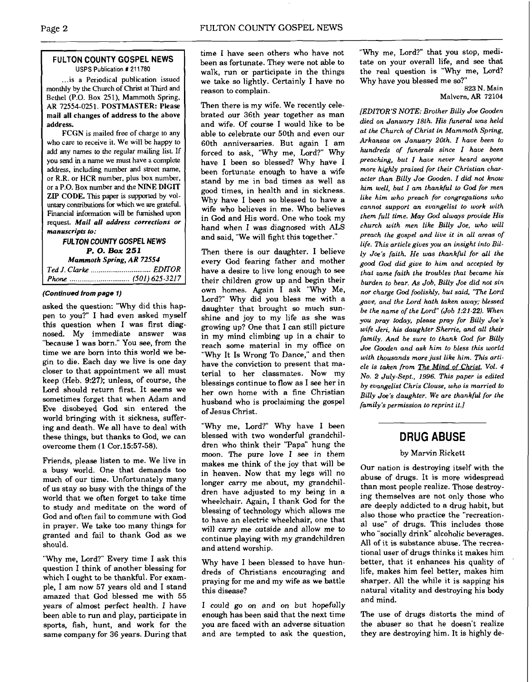#### **FULTON COUNTY GOSPEL NEWS**  USPS Publication **1** 21 1780

... is a Periodical publication issued monthly by the Church of Christ at Third and Bethel (P.O. Box 251), Mammoth Spring, AR 72554-0251. POSTMASTER: Please mail all changes of address to the above address.

FCGN is mailed **free** of charge to any who care to receive it. We will be happy **to**  add any names to the regular mailing list **If**  you send **in** a name we must have a complete address, including number and street name, or R.R. or HCR number, plus **box** number. or a P.O. Box number and the NINE DIGIT ZIP CODE. This paper is supported by voluntary contributions for which we are grateful. Financial information will **be** furnished upon request. *Mail all address corrections or manuscripts to:* 

#### **FULTON COUNTY GOSPEL NEWS P. 0. Box** *251 Mammoth Spring, AR 72554 Ted J. Clarke* ............................... *EDFOR Phone* ............................... *(501) 625-321* **7**

#### *{Continued from page 1)*

asked the question: "Why did this happen to you?'I had even asked myself this question when I was first diagnosed. My immediate answer was "because I was born." You see, from the time we are born into this world we begin to die. Each day we live is one day closer to that appointment we all must keep (Heb. **9:27);** unless, of course, the Lord should return first. It seems we sometimes forget that when Adam and Eve disobeyed God sin entered the world bringing with it sickness, suffering and death. We all have to deal with these things, but thanks to God, we can overcome them **(1** Cor.15:57-58).

Friends, please listen to me. We live in a busy world. One that demands too much of our time. Unfortunately many of us stay so busy with the things of the world that we often forget to take time to study and meditate on the word of God and often fail to commune with God in prayer. We take too many things for granted and fail to thank God as we should.

"Why me, Lord?" Every time I ask this question I think of another blessing for which I ought to be thankful. For example, I am now 57 years old and I stand amazed that God blessed me with 55 years of almost perfect health. I have been able to run and play, participate in sports, fish, hunt, and work for the same company for 36 years. During that time I have seen others who have not been as fortunate. They were not able to walk, run or participate in the things we take so lightly. Certainly I have no reason to complain.

Then there is my wife. We recently celebrated our 36th year together as man and wife. Of course I would like to be able to celebrate our 50th and even our 60th anniversaries. But again I am forced to ask, "Why me, Lord?" Why have I been so blessed? Why have I been fortunate enough to have a wife stand by me in bad times as well as good times, in health and in sickness. Why have I been so blessed to have a wife who believes in me. Who believes in God and His word. One who took my hand when I was diagnosed with **ALS**  and said, "We will fight this together."

Then there is our daughter. I believe every God fearing father and mother have a desire to live long enough to see their children grow up and begin their own homes. Again I ask "Why Me, Lord?" Why did you bless me with a daughter that brought so much sunshine and joy to my life as she was growing up? One that I can still picture in my mind climbing up in a chair to reach some material in my ofice on "Why It Is Wrong To Dance," and then have the conviction to present that material to her classmates. Now my blessings continue to flow as I see her in her own home with a fine Christian husband who is proclaiming the gospel of Jesus Christ.

"Why me, Lord?" Why have I been blessed with two wonderful grandchildren who think their "Papa" hung the moon. The pure love I see in them makes me think of the joy that will be in heaven. Now that my legs will no longer carry me about, my grandchildren have adjusted to my being in a wheelchair. Again, I thank God for the blessing of technology which allows me to have an electric wheelchair, one that will carry me outside and allow me to continue playing with my grandchildren and attend worship.

Why have I been blessed to have hundreds of Christians encouraging and praying for me and my wife as we battle this disease?

I could go on and on but hopefully enough has been said that the next time you are faced with an adverse situation and are tempted to ask the question, "Why me, Lord?" that you stop, meditate on your overall life, and see that the real question is "Why me, Lord? Why have you blessed me so?"

823 N. Main Malvern, **AR** 72104

*[EDITOR'S NOTE: Brother Billy Joe Gooden died on January 18th. His funeral was held at the Church of Christ in Mammoth Spring, Arkansas on January 20th. I have been to hundreds of funerals since I have been preaching, but I have never heard anyone more highly praised for their Christian character than Billy Joe Gooden. I did not know him well, but I am thankful to God for men like him who preach for congregations who cannot support an evangelist to work with them full time. May God always provide His church with men like Billy Joe, who will preach the gospel and live it in all areas of life. This article gives you an insight into Billy Joe's faith. He was thankful for all the good God did give to him and accepted by that same faith the troubles that became his burden to bear. As Job, Billy Joe did not sin nor charge God foolishly, but said, "The Lord*  **gaue,** *and the Lord hath iuken away; blessed be the name of the Lord" (Job 1:2I-22). When you pray today, please pray for Billy Joe's wife Jeri, his daughter Sherrie, and all their family. And be sure to thank God for Billy Joe Gooden and ask him to bless this world with thousands more just like him. This article is taken from The Mind of Christ, Vol. 4 NO. 2 July-Sept., 1996. This paper is edited by evangelist Chris Clouse, who is married to Billy Joe's daughter. We are thankful for the family's permission to reprint it.]* 

# **DRUG ABUSE**

#### by Marvin Rjckett

Our nation is destroying itself with the abuse of drugs. It is more widespread than most people realize. Those destroying themselves are not only those who are deeply addicted to a drug habit, but also those who practice the "recreational use" of drugs. This includes those who "socially drink" alcoholic beverages. All of it is substance abuse. The recreational user of drugs thinks it makes him better, that it enhances his quality of life, makes him feel better, makes him sharper. All the while it is sapping his natural vitality and destroying his body and mind.

The use of drugs distorts the mind of the abuser so that he doesn't realize they are destroying him. It is highly de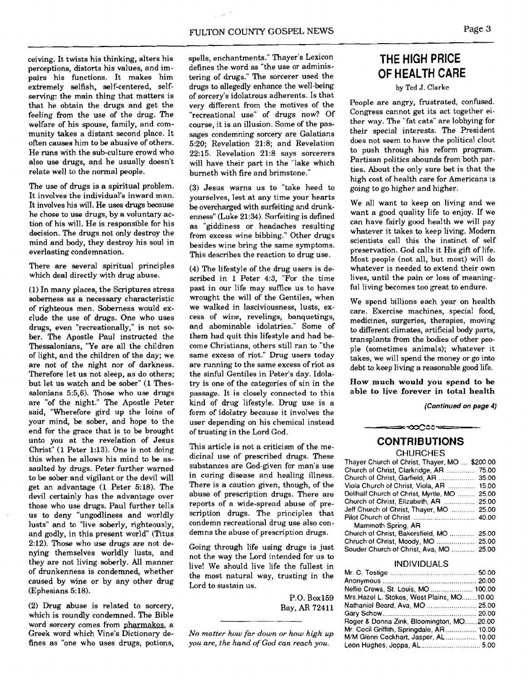ceiving. It twists his thinking, alters his perceptions, distorts his values, and impairs his functions. It makes him extremely selfish, self-centered, selfserving: the main thing that matters is that he obtain the drugs and get the feeling from the use of the drug. The welfare of his spouse, family, and community takes a distant second place. It often causes him to be abusive of others. He runs with the sub-culture crowd who also use drugs, and he usually doesn't relate well to the normal people.

The use of drugs is a spiritual problem. It involves the individual's inward man. It involves his will. He uses **drugs** because he chose to use drugs, by a voluntary action of his will. He is responsible for his decision. The drugs not only destroy the mind and body, they destroy his soul in everlasting condemnation.

There are several spiritual principles which deal directly with drug abuse.

(1) In many places, the Scriptures stress soberness as a necessary characteristic of righteous men. Soberness would exclude the use of drugs. One who uses drugs, even "recreationally," is not sober. The Apostle Paul instructed the Thessalonians, "Ye are all the children of light, and the children of the day; we are not of the night nor of darkness. Therefore let us not sleep, as do others; but let us watch and be sober" (1 Thessalonians 5:5,6). Those who use drugs are "of the night." The Apostle Peter said, "Wherefore gird up the loins of your mind, be sober, and hope to the end for the grace that is to **be** brought unto you at the revelation of Jesus Christ" (1 Peter 1:13). One is not doing this when he allows his mind to **be** assaulted by drugs. Peter further warned to be sober and vigilant or the devil will get an advantage (1 Peter 5:18). The devil certainly has the advantage over those who use drugs. Paul further tells us to deny "ungodliness and worldly lusts" and to "live soberly, righteously, and godly, in this present world" (Titus 2:12). Those who use drugs are not denying themselves worldly lusts, and they are not living soberly. All manner of drunkenness is condemned, whether caused by wine or by any other drug (Ephesians 5:18).

(2) Drug abuse is related to sorcery, which is roundly condemned. The Bible word sorcery comes from pharmakos, a Greek word which Vine's Dictionary defines as "one who uses drugs, potions, spells, enchantments." Thayer's Lexicon defines the word as "the use or administering of drugs." The sorcerer used the drugs to allegedly enhance the well-being of sorcery's idolatrous adherents. Is that very different from the motives of the "recreational use" of drugs now? Of course, it is an illusion. Some of the passages condemning sorcery are Galatians 5:20; Revelation 21:8; and Revelation 22:15. Revelation 21:8 says sorcerers will have their part in the "lake which burneth with fire and brimstone."

(3) Jesus warns us to "take heed to yourselves, lest at any time your hearts be overcharged with surfeiting and drunkenness" (Luke 21:34). Surfeiting is defined as "giddiness or headaches resulting from excess wine bibbing." Other drugs besides wine bring the same symptoms. This describes the reaction to drug use.

(4) The lifestyle of the drug users is described in 1 Peter 4:3, "For the time past in our life may suffice us to have wrought the will of the Gentiles, when we walked in lasciviousness, lusts, excess of wine, revelings, banquetings, and abominable idolatries." Some of them had quit this lifestyle and had become Christians, others still ran to "the same excess of riot." Drug users today are running to the same excess of riot as the sinful Gentiles in Peter's day. Idolatry is one of the categories of sin in the passage. It is closely connected to this kind of drug lifestyle. Drug use is a form of idolatry because it involves the user depending on his chemical instead of trusting in the Lord God.

This article is not a criticism of the medicinal use of prescribed drugs. These substances are God-given for man's use in curing disease and healing illness. There is a caution given, though, of the abuse of prescription drugs. There are reports of a wide-spread abuse of prescription drugs. The principles that condemn recreational drug use also condemns the abuse of prescription drugs.

Going through life using drugs is just not the way the Lord intended for us to live! We should live life the fullest in the most natural way, trusting in the Lord to sustain us.

> P.O. Box159 Bay, **AR** 72411

*No matter how far down or how high up you are, the hand of God can reach you.* 

# **THE HIGH PRICE OF HEALTH CARE**

by Ted J. Clarke

People are angry, frustrated, confused. Congress cannot get its act together either way. The "fat cats" are lobbying for their special interests. The President does not seem to have the political clout to push through his reform program. Partisan politics abounds from both parties. About the only sure bet is that the high cost of health care for Americans is going to go higher and higher.

We all want to keep on living and we want a good quality life to enjoy. If we can have fairly good health we will pay whatever it takes to keep living. Modern scientists call this the instinct of self preservation. God calls it His gift of life. Most people (not all, but most) will do whatever is needed to extend their own lives, until the pain or loss of meaningful living becomes too great to endure.

We spend billions each year on health care. Exercise machines, special food, medicines, surgeries, therapies, moving to different climates, artificial body parts, transplants from the bodies of other people (sometimes animals); whatever it takes, we will spend the money or go into debt to keep living a reasonable good life.

How much would you spend to be able to live forever in total health

**(Continued on page 4)** 

# **CONTRIBUTIONS**

≈-ಯ೦೦೦ಇ⇔

**CHURCHES** 

| Thayer Church of Christ, Thayer, MO  \$200.00 |  |
|-----------------------------------------------|--|
| Church of Christ, Clarkridge, AR  75.00       |  |
| Church of Christ, Garfield, AR  35.00         |  |
| Viola Church of Christ, Viola, AR  15.00      |  |
| Dellhalf Church of Christ, Myrtle, MO  25.00  |  |
|                                               |  |
| Jeff Church of Christ, Thayer, MO  25.00      |  |
|                                               |  |
| Mammoth Spring, AR                            |  |
| Church of Christ, Bakersfield, MO  25.00      |  |
|                                               |  |
| Souder Church of Christ, Ava, MO  25.00       |  |
|                                               |  |

#### **INDlVlDUALS**

| Nellie Crews, St. Louis, MO  100.00        |  |
|--------------------------------------------|--|
| Mrs. Hazel L. Stokes, West Plains, MO10.00 |  |
|                                            |  |
|                                            |  |
| Roger & Donna Zink, Bloomington, MO20.00   |  |
| Mr. Cecil Griffith, Springdale, AR  10.00  |  |
| M/M Glenn Cockhart, Jasper, AL  10.00      |  |
| Leon Hughes, Joppa, AL 5.00                |  |